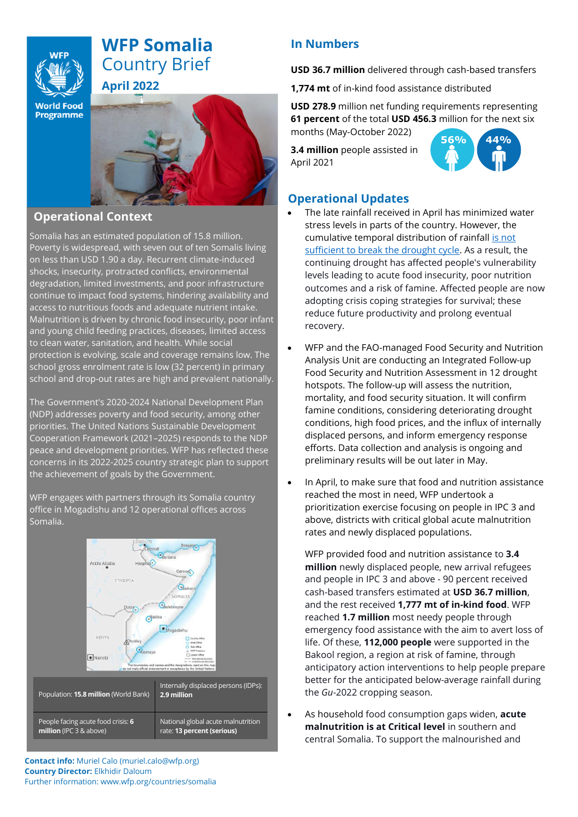

# **WFP Somalia** Country Brief **April 2022**

**World Food Programme** 



### **Operational Context**

Somalia has an estimated population of 15.8 million. Poverty is widespread, with seven out of ten Somalis living on less than USD 1.90 a day. Recurrent climate-induced shocks, insecurity, protracted conflicts, environmental degradation, limited investments, and poor infrastructure continue to impact food systems, hindering availability and access to nutritious foods and adequate nutrient intake. Malnutrition is driven by chronic food insecurity, poor infant and young child feeding practices, diseases, limited access to clean water, sanitation, and health. While social protection is evolving, scale and coverage remains low. The school gross enrolment rate is low (32 percent) in primary school and drop-out rates are high and prevalent nationally.

The Government's 2020-2024 National Development Plan (NDP) addresses poverty and food security, among other priorities. The United Nations Sustainable Development Cooperation Framework (2021–2025) responds to the NDP peace and development priorities. WFP has reflected these concerns in its 2022-2025 country strategic plan to support the achievement of goals by the Government.

WFP engages with partners through its Somalia country office in Mogadishu and 12 operational offices across Somalia.



## **In Numbers**

**USD 36.7 million** delivered through cash-based transfers

**1,774 mt** of in-kind food assistance distributed

**USD 278.9** million net funding requirements representing **61 percent** of the total **USD 456.3** million for the next six months (May-October 2022)

**3.4 million** people assisted in April 2021



### **Operational Updates**

- The late rainfall received in April has minimized water stress levels in parts of the country. However, the cumulative temporal distribution of rainfall [is not](http://www.faoswalim.org/content/somalia-rainfall-forecast-%E2%80%93-issued-04-may-2022)  [sufficient to break the drought cycle.](http://www.faoswalim.org/content/somalia-rainfall-forecast-%E2%80%93-issued-04-may-2022) As a result, the continuing drought has affected people's vulnerability levels leading to acute food insecurity, poor nutrition outcomes and a risk of famine. Affected people are now adopting crisis coping strategies for survival; these reduce future productivity and prolong eventual recovery.
- WFP and the FAO-managed Food Security and Nutrition Analysis Unit are conducting an Integrated Follow-up Food Security and Nutrition Assessment in 12 drought hotspots. The follow-up will assess the nutrition, mortality, and food security situation. It will confirm famine conditions, considering deteriorating drought conditions, high food prices, and the influx of internally displaced persons, and inform emergency response efforts. Data collection and analysis is ongoing and preliminary results will be out later in May.
- In April, to make sure that food and nutrition assistance reached the most in need, WFP undertook a prioritization exercise focusing on people in IPC 3 and above, districts with critical global acute malnutrition rates and newly displaced populations.

WFP provided food and nutrition assistance to **3.4 million** newly displaced people, new arrival refugees and people in IPC 3 and above - 90 percent received cash-based transfers estimated at **USD 36.7 million**, and the rest received **1,777 mt of in-kind food**. WFP reached **1.7 million** most needy people through emergency food assistance with the aim to avert loss of life. Of these, **112,000 people** were supported in the Bakool region, a region at risk of famine, through anticipatory action interventions to help people prepare better for the anticipated below-average rainfall during the *Gu*-2022 cropping season.

• As household food consumption gaps widen, **acute malnutrition is at Critical level** in southern and central Somalia. To support the malnourished and

**Contact info:** Muriel Calo (muriel.calo@wfp.org) **Country Director:** Elkhidir Daloum Further information: www.wfp.org/countries/somalia